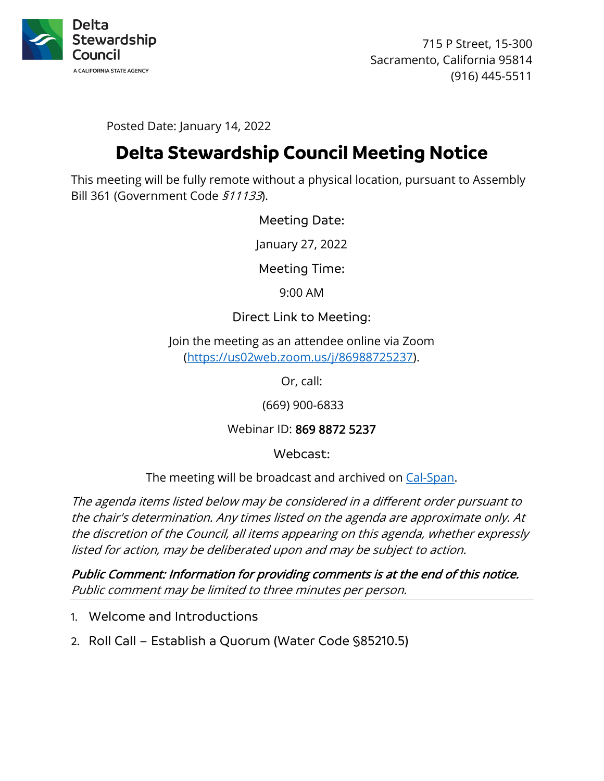

715 P Street, 15-300 Sacramento, California 95814 (916) 445-5511

Posted Date: January 14, 2022

# **Delta Stewardship Council Meeting Notice**

This meeting will be fully remote without a physical location, pursuant to Assembly Bill 361 (Government Code §11133).

Meeting Date:

January 27, 2022

Meeting Time:

9:00 AM

### Direct Link to Meeting:

Join the meeting as an attendee online via Zoom [\(https://us02web.zoom.us/j/86988725237\)](https://us02web.zoom.us/j/86988725237).

Or, call:

(669) 900-6833

## Webinar ID: 869 8872 5237

Webcast:

The meeting will be broadcast and archived on [Cal-Span.](https://www.cal-span.org/)

The agenda items listed below may be considered in a different order pursuant to the chair's determination. Any times listed on the agenda are approximate only. At the discretion of the Council, all items appearing on this agenda, whether expressly listed for action, may be deliberated upon and may be subject to action.

Public Comment: Information for providing comments is at the end of this notice. Public comment may be limited to three minutes per person.

- 1. Welcome and Introductions
- 2. Roll Call Establish a Quorum (Water Code §85210.5)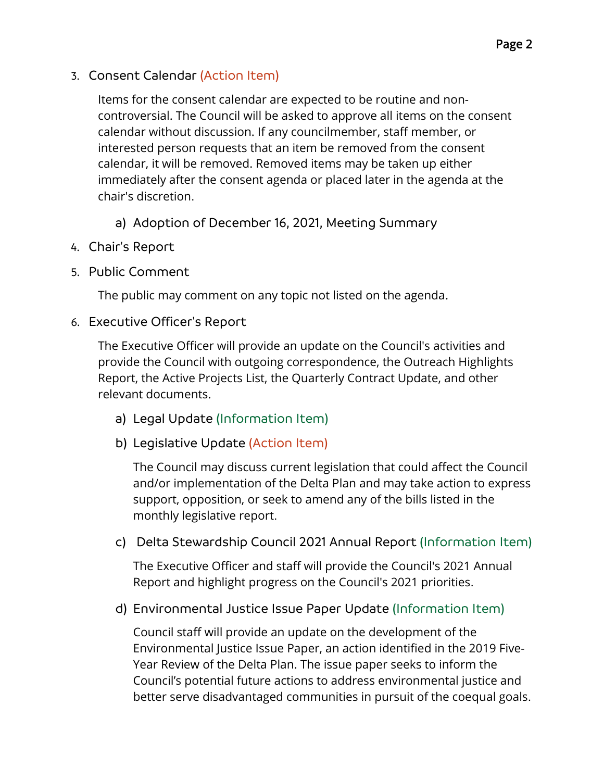3. Consent Calendar (Action Item)

Items for the consent calendar are expected to be routine and noncontroversial. The Council will be asked to approve all items on the consent calendar without discussion. If any councilmember, staff member, or interested person requests that an item be removed from the consent calendar, it will be removed. Removed items may be taken up either immediately after the consent agenda or placed later in the agenda at the chair's discretion.

- a) Adoption of December 16, 2021, Meeting Summary
- 4. Chair's Report
- 5. Public Comment

The public may comment on any topic not listed on the agenda.

6. Executive Officer's Report

The Executive Officer will provide an update on the Council's activities and provide the Council with outgoing correspondence, the Outreach Highlights Report, the Active Projects List, the Quarterly Contract Update, and other relevant documents.

- a) Legal Update (Information Item)
- b) Legislative Update (Action Item)

The Council may discuss current legislation that could affect the Council and/or implementation of the Delta Plan and may take action to express support, opposition, or seek to amend any of the bills listed in the monthly legislative report.

c) Delta Stewardship Council 2021 Annual Report (Information Item)

The Executive Officer and staff will provide the Council's 2021 Annual Report and highlight progress on the Council's 2021 priorities.

d) Environmental Justice Issue Paper Update (Information Item)

Council staff will provide an update on the development of the Environmental Justice Issue Paper, an action identified in the 2019 Five-Year Review of the Delta Plan. The issue paper seeks to inform the Council's potential future actions to address environmental justice and better serve disadvantaged communities in pursuit of the coequal goals.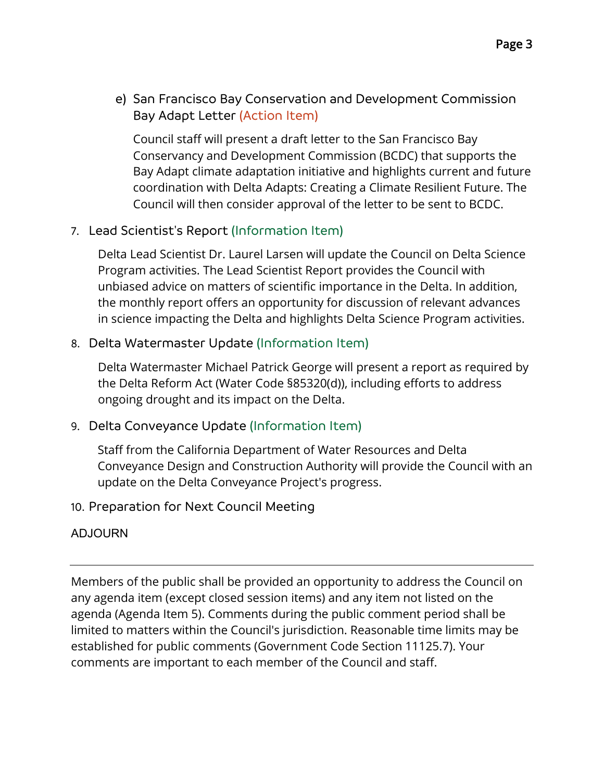e) San Francisco Bay Conservation and Development Commission Bay Adapt Letter (Action Item)

Council staff will present a draft letter to the San Francisco Bay Conservancy and Development Commission (BCDC) that supports the Bay Adapt climate adaptation initiative and highlights current and future coordination with Delta Adapts: Creating a Climate Resilient Future. The Council will then consider approval of the letter to be sent to BCDC.

7. Lead Scientist's Report (Information Item)

Delta Lead Scientist Dr. Laurel Larsen will update the Council on Delta Science Program activities. The Lead Scientist Report provides the Council with unbiased advice on matters of scientific importance in the Delta. In addition, the monthly report offers an opportunity for discussion of relevant advances in science impacting the Delta and highlights Delta Science Program activities.

## 8. Delta Watermaster Update (Information Item)

Delta Watermaster Michael Patrick George will present a report as required by the Delta Reform Act (Water Code §85320(d)), including efforts to address ongoing drought and its impact on the Delta.

## 9. Delta Conveyance Update (Information Item)

Staff from the California Department of Water Resources and Delta Conveyance Design and Construction Authority will provide the Council with an update on the Delta Conveyance Project's progress.

## 10. Preparation for Next Council Meeting

## ADJOURN

Members of the public shall be provided an opportunity to address the Council on any agenda item (except closed session items) and any item not listed on the agenda (Agenda Item 5). Comments during the public comment period shall be limited to matters within the Council's jurisdiction. Reasonable time limits may be established for public comments (Government Code Section 11125.7). Your comments are important to each member of the Council and staff.